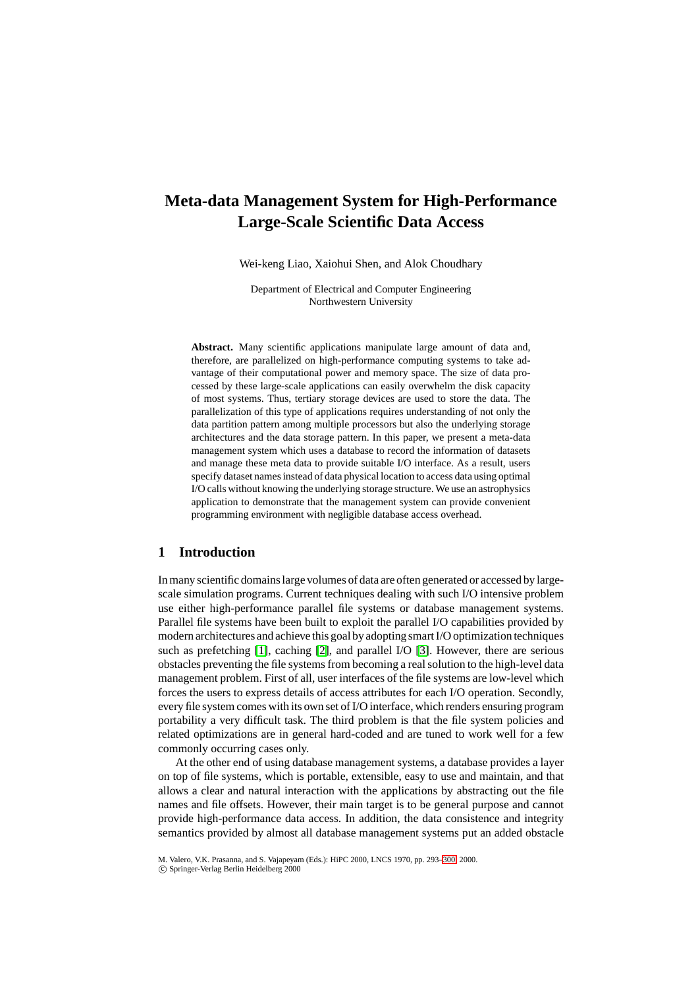# **Meta-data Management System for High-Performance Large-Scale Scientific Data Access**

Wei-keng Liao, Xaiohui Shen, and Alok Choudhary

Department of Electrical and Computer Engineering Northwestern University

**Abstract.** Many scientific applications manipulate large amount of data and, therefore, are parallelized on high-performance computing systems to take advantage of their computational power and memory space. The size of data processed by these large-scale applications can easily overwhelm the disk capacity of most systems. Thus, tertiary storage devices are used to store the data. The parallelization of this type of applications requires understanding of not only the data partition pattern among multiple processors but also the underlying storage architectures and the data storage pattern. In this paper, we present a meta-data management system which uses a database to record the information of datasets and manage these meta data to provide suitable I/O interface. As a result, users specify dataset names instead of data physical location to access data using optimal I/O calls without knowing the underlying storage structure. We use an astrophysics application to demonstrate that the management system can provide convenient programming environment with negligible database access overhead.

# **1 Introduction**

In many scientific domains large volumes of data are often generated or accessed by largescale simulation programs. Current techniques dealing with such I/O intensive problem use either high-performance parallel file systems or database management systems. Parallel file systems have been built to exploit the parallel I/O capabilities provided by modern architectures and achieve this goal by adopting smart I/O optimization techniques such as prefetching [\[1\]](#page-7-0), caching [\[2\]](#page-7-0), and parallel I/O [\[3\]](#page-7-0). However, there are serious obstacles preventing the file systems from becoming a real solution to the high-level data management problem. First of all, user interfaces of the file systems are low-level which forces the users to express details of access attributes for each I/O operation. Secondly, every file system comes with its own set of I/O interface, which renders ensuring program portability a very difficult task. The third problem is that the file system policies and related optimizations are in general hard-coded and are tuned to work well for a few commonly occurring cases only.

At the other end of using database management systems, a database provides a layer on top of file systems, which is portable, extensible, easy to use and maintain, and that allows a clear and natural interaction with the applications by abstracting out the file names and file offsets. However, their main target is to be general purpose and cannot provide high-performance data access. In addition, the data consistence and integrity semantics provided by almost all database management systems put an added obstacle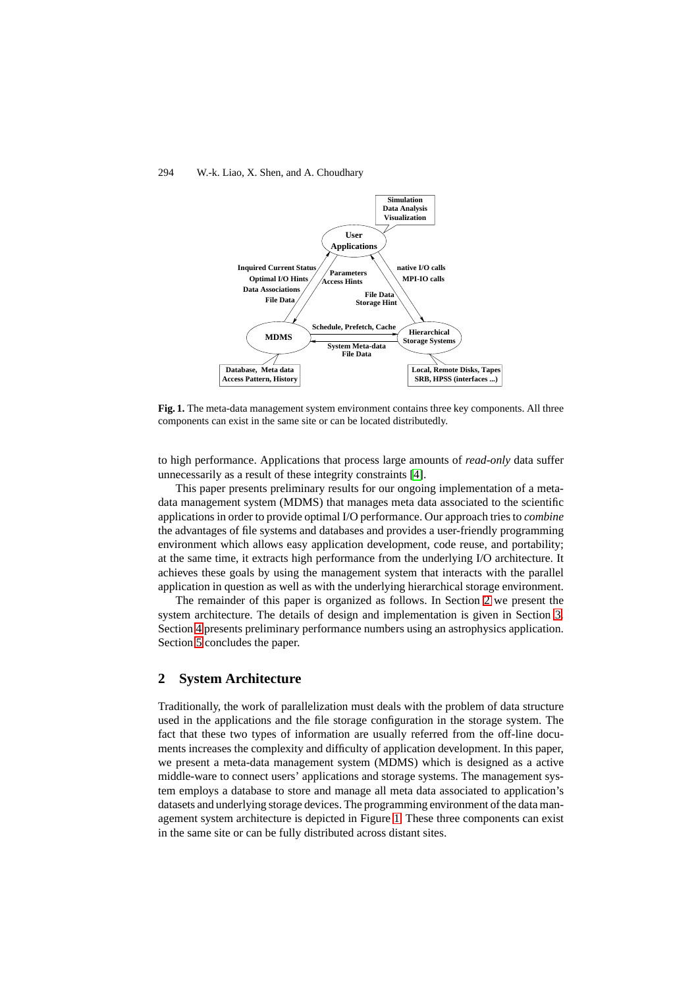#### 294 W.-k. Liao, X. Shen, and A. Choudhary



**Fig. 1.** The meta-data management system environment contains three key components. All three components can exist in the same site or can be located distributedly.

to high performance. Applications that process large amounts of *read-only* data suffer unnecessarily as a result of these integrity constraints [\[4\]](#page-7-0).

This paper presents preliminary results for our ongoing implementation of a metadata management system (MDMS) that manages meta data associated to the scientific applications in order to provide optimal I/O performance. Our approach tries to *combine* the advantages of file systems and databases and provides a user-friendly programming environment which allows easy application development, code reuse, and portability; at the same time, it extracts high performance from the underlying I/O architecture. It achieves these goals by using the management system that interacts with the parallel application in question as well as with the underlying hierarchical storage environment.

The remainder of this paper is organized as follows. In Section 2 we present the system architecture. The details of design and implementation is given in Section [3.](#page-2-0) Section [4](#page-5-0) presents preliminary performance numbers using an astrophysics application. Section [5](#page-6-0) concludes the paper.

# **2System Architecture**

Traditionally, the work of parallelization must deals with the problem of data structure used in the applications and the file storage configuration in the storage system. The fact that these two types of information are usually referred from the off-line documents increases the complexity and difficulty of application development. In this paper, we present a meta-data management system (MDMS) which is designed as a active middle-ware to connect users' applications and storage systems. The management system employs a database to store and manage all meta data associated to application's datasets and underlying storage devices. The programming environment of the data management system architecture is depicted in Figure 1. These three components can exist in the same site or can be fully distributed across distant sites.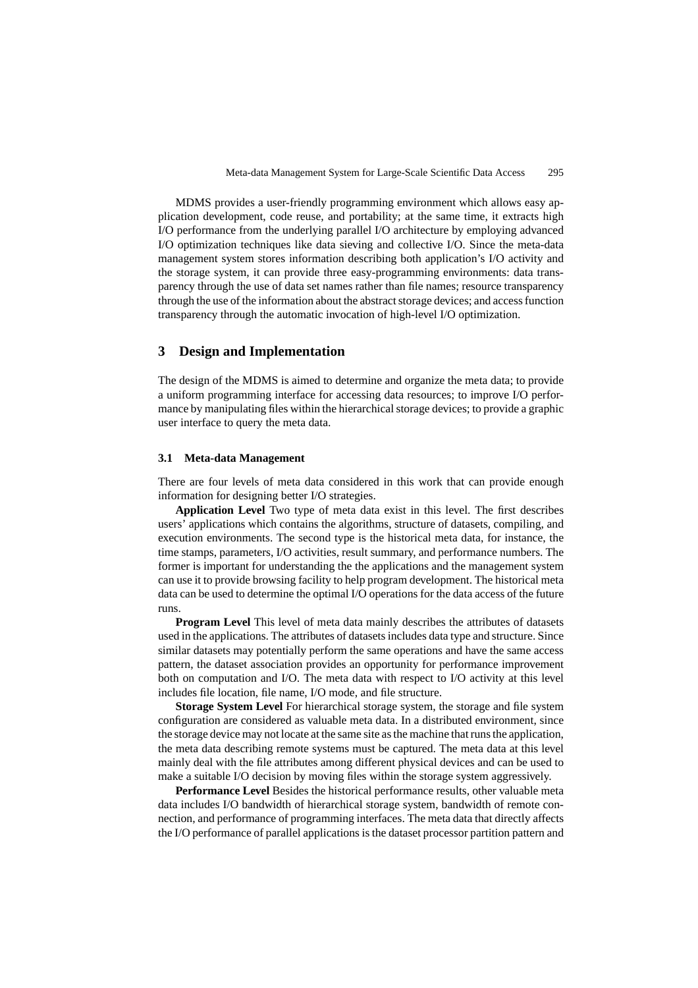<span id="page-2-0"></span>MDMS provides a user-friendly programming environment which allows easy application development, code reuse, and portability; at the same time, it extracts high I/O performance from the underlying parallel I/O architecture by employing advanced I/O optimization techniques like data sieving and collective I/O. Since the meta-data management system stores information describing both application's I/O activity and the storage system, it can provide three easy-programming environments: data transparency through the use of data set names rather than file names; resource transparency through the use of the information about the abstract storage devices; and access function transparency through the automatic invocation of high-level I/O optimization.

# **3 Design and Implementation**

The design of the MDMS is aimed to determine and organize the meta data; to provide a uniform programming interface for accessing data resources; to improve I/O performance by manipulating files within the hierarchical storage devices; to provide a graphic user interface to query the meta data.

#### **3.1 Meta-data Management**

There are four levels of meta data considered in this work that can provide enough information for designing better I/O strategies.

**Application Level** Two type of meta data exist in this level. The first describes users' applications which contains the algorithms, structure of datasets, compiling, and execution environments. The second type is the historical meta data, for instance, the time stamps, parameters, I/O activities, result summary, and performance numbers. The former is important for understanding the the applications and the management system can use it to provide browsing facility to help program development. The historical meta data can be used to determine the optimal I/O operations for the data access of the future runs.

**Program Level** This level of meta data mainly describes the attributes of datasets used in the applications. The attributes of datasets includes data type and structure. Since similar datasets may potentially perform the same operations and have the same access pattern, the dataset association provides an opportunity for performance improvement both on computation and I/O. The meta data with respect to I/O activity at this level includes file location, file name, I/O mode, and file structure.

**Storage System Level** For hierarchical storage system, the storage and file system configuration are considered as valuable meta data. In a distributed environment, since the storage device may not locate at the same site as the machine that runs the application, the meta data describing remote systems must be captured. The meta data at this level mainly deal with the file attributes among different physical devices and can be used to make a suitable I/O decision by moving files within the storage system aggressively.

**Performance Level** Besides the historical performance results, other valuable meta data includes I/O bandwidth of hierarchical storage system, bandwidth of remote connection, and performance of programming interfaces. The meta data that directly affects the I/O performance of parallel applications is the dataset processor partition pattern and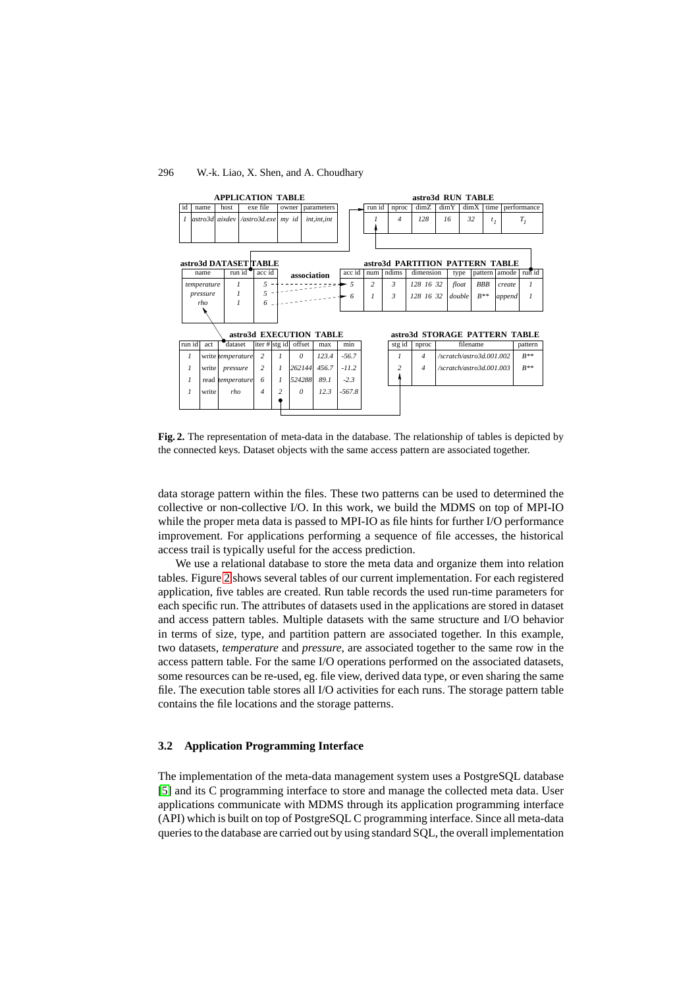

296 W.-k. Liao, X. Shen, and A. Choudhary

**Fig. 2.** The representation of meta-data in the database. The relationship of tables is depicted by the connected keys. Dataset objects with the same access pattern are associated together.

data storage pattern within the files. These two patterns can be used to determined the collective or non-collective I/O. In this work, we build the MDMS on top of MPI-IO while the proper meta data is passed to MPI-IO as file hints for further I/O performance improvement. For applications performing a sequence of file accesses, the historical access trail is typically useful for the access prediction.

We use a relational database to store the meta data and organize them into relation tables. Figure 2 shows several tables of our current implementation. For each registered application, five tables are created. Run table records the used run-time parameters for each specific run. The attributes of datasets used in the applications are stored in dataset and access pattern tables. Multiple datasets with the same structure and I/O behavior in terms of size, type, and partition pattern are associated together. In this example, two datasets, *temperature* and *pressure*, are associated together to the same row in the access pattern table. For the same I/O operations performed on the associated datasets, some resources can be re-used, eg. file view, derived data type, or even sharing the same file. The execution table stores all I/O activities for each runs. The storage pattern table contains the file locations and the storage patterns.

#### **3.2Application Programming Interface**

The implementation of the meta-data management system uses a PostgreSQL database [\[5\]](#page-7-0) and its C programming interface to store and manage the collected meta data. User applications communicate with MDMS through its application programming interface (API) which is built on top of PostgreSQL C programming interface. Since all meta-data queries to the database are carried out by using standard SQL, the overall implementation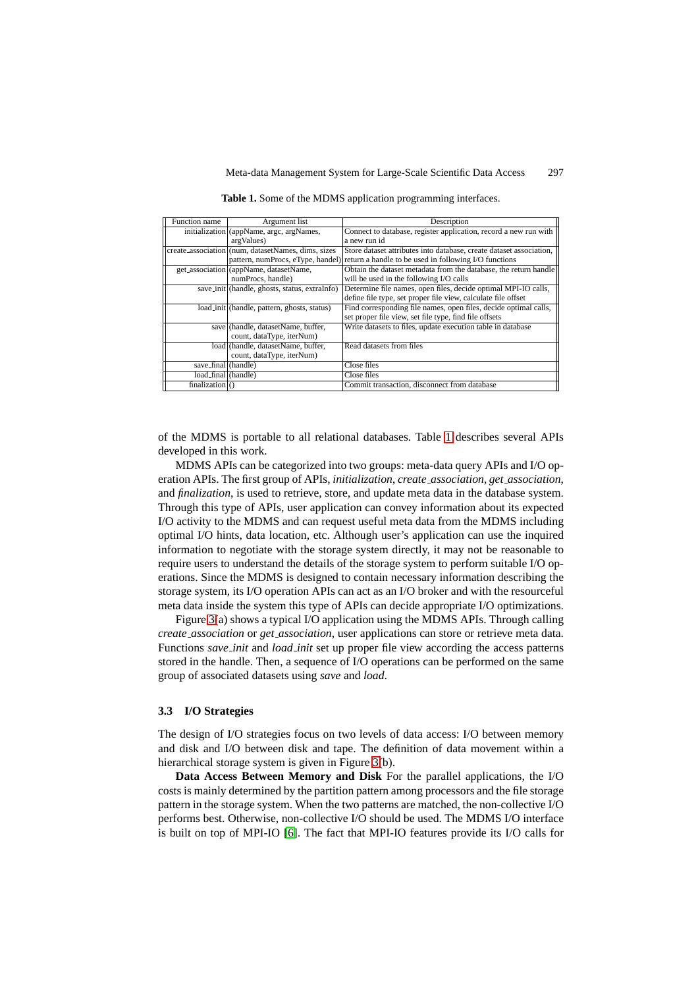| Function name       | Argument list                                      | Description                                                                             |  |
|---------------------|----------------------------------------------------|-----------------------------------------------------------------------------------------|--|
|                     | initialization (appName, argc, argNames,           | Connect to database, register application, record a new run with                        |  |
|                     | argValues)                                         | a new run id                                                                            |  |
|                     | create_association (num, datasetNames, dims, sizes | Store dataset attributes into database, create dataset association,                     |  |
|                     |                                                    | pattern, numProcs, eType, handel) return a handle to be used in following I/O functions |  |
|                     | get_association (appName, datasetName,             | Obtain the dataset metadata from the database, the return handle                        |  |
|                     | numProcs, handle)                                  | will be used in the following I/O calls                                                 |  |
|                     | save_init (handle, ghosts, status, extraInfo)      | Determine file names, open files, decide optimal MPI-IO calls,                          |  |
|                     |                                                    | define file type, set proper file view, calculate file offset                           |  |
|                     | load_init (handle, pattern, ghosts, status)        | Find corresponding file names, open files, decide optimal calls,                        |  |
|                     |                                                    | set proper file view, set file type, find file offsets                                  |  |
|                     | save (handle, datasetName, buffer,                 | Write datasets to files, update execution table in database                             |  |
|                     | count, dataType, iterNum)                          |                                                                                         |  |
|                     | load (handle, datasetName, buffer,                 | Read datasets from files                                                                |  |
|                     | count, dataType, iterNum)                          |                                                                                         |  |
| save_final (handle) |                                                    | Close files                                                                             |  |
| load_final (handle) |                                                    | Close files                                                                             |  |
| $finalization$ ()   |                                                    | Commit transaction, disconnect from database                                            |  |

**Table 1.** Some of the MDMS application programming interfaces.

of the MDMS is portable to all relational databases. Table 1 describes several APIs developed in this work.

MDMS APIs can be categorized into two groups: meta-data query APIs and I/O operation APIs. The first group of APIs, *initialization*, *create association*, *get association*, and *finalization*, is used to retrieve, store, and update meta data in the database system. Through this type of APIs, user application can convey information about its expected I/O activity to the MDMS and can request useful meta data from the MDMS including optimal I/O hints, data location, etc. Although user's application can use the inquired information to negotiate with the storage system directly, it may not be reasonable to require users to understand the details of the storage system to perform suitable I/O operations. Since the MDMS is designed to contain necessary information describing the storage system, its I/O operation APIs can act as an I/O broker and with the resourceful meta data inside the system this type of APIs can decide appropriate I/O optimizations.

Figure [3\(](#page-5-0)a) shows a typical I/O application using the MDMS APIs. Through calling *create association* or *get association*, user applications can store or retrieve meta data. Functions *save init* and *load init* set up proper file view according the access patterns stored in the handle. Then, a sequence of I/O operations can be performed on the same group of associated datasets using *save* and *load*.

#### **3.3 I/O Strategies**

The design of I/O strategies focus on two levels of data access: I/O between memory and disk and I/O between disk and tape. The definition of data movement within a hierarchical storage system is given in Figure [3\(](#page-5-0)b).

**Data Access Between Memory and Disk** For the parallel applications, the I/O costs is mainly determined by the partition pattern among processors and the file storage pattern in the storage system. When the two patterns are matched, the non-collective I/O performs best. Otherwise, non-collective I/O should be used. The MDMS I/O interface is built on top of MPI-IO [\[6\]](#page-7-0). The fact that MPI-IO features provide its I/O calls for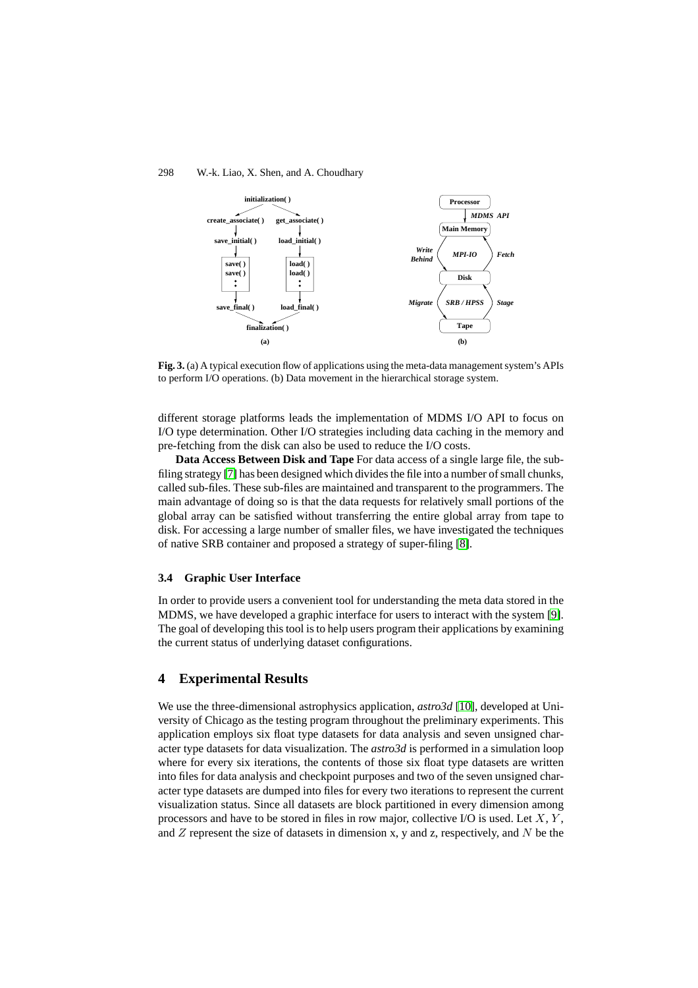<span id="page-5-0"></span>

**Fig. 3.** (a) A typical execution flow of applications using the meta-data management system's APIs to perform I/O operations. (b) Data movement in the hierarchical storage system.

different storage platforms leads the implementation of MDMS I/O API to focus on I/O type determination. Other I/O strategies including data caching in the memory and pre-fetching from the disk can also be used to reduce the I/O costs.

**Data Access Between Disk and Tape** For data access of a single large file, the subfiling strategy [\[7\]](#page-7-0) has been designed which divides the file into a number of small chunks, called sub-files. These sub-files are maintained and transparent to the programmers. The main advantage of doing so is that the data requests for relatively small portions of the global array can be satisfied without transferring the entire global array from tape to disk. For accessing a large number of smaller files, we have investigated the techniques of native SRB container and proposed a strategy of super-filing [\[8\]](#page-7-0).

#### **3.4 Graphic User Interface**

In order to provide users a convenient tool for understanding the meta data stored in the MDMS, we have developed a graphic interface for users to interact with the system [\[9\]](#page-7-0). The goal of developing this tool is to help users program their applications by examining the current status of underlying dataset configurations.

# **4 Experimental Results**

We use the three-dimensional astrophysics application, *astro3d* [\[10\]](#page-7-0), developed at University of Chicago as the testing program throughout the preliminary experiments. This application employs six float type datasets for data analysis and seven unsigned character type datasets for data visualization. The *astro3d* is performed in a simulation loop where for every six iterations, the contents of those six float type datasets are written into files for data analysis and checkpoint purposes and two of the seven unsigned character type datasets are dumped into files for every two iterations to represent the current visualization status. Since all datasets are block partitioned in every dimension among processors and have to be stored in files in row major, collective I/O is used. Let  $X, Y$ , and Z represent the size of datasets in dimension x, y and z, respectively, and N be the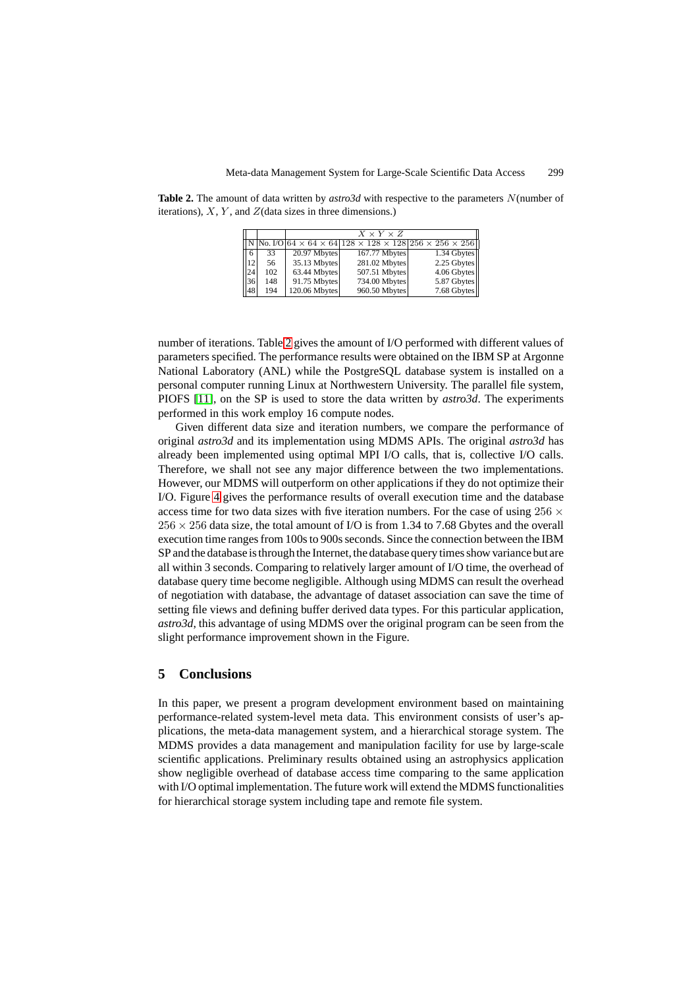<span id="page-6-0"></span>**Table 2.** The amount of data written by *astro3d* with respective to the parameters N(number of iterations),  $X, Y$ , and  $Z$ (data sizes in three dimensions.)

|    |     | $X \times Y \times Z$ |               |                                                                                                                                                                                              |
|----|-----|-----------------------|---------------|----------------------------------------------------------------------------------------------------------------------------------------------------------------------------------------------|
|    |     |                       |               | $\left\vert \left\vert \mathbf{N}\right\vert \right\vert$ No. I/O $\left\vert 64 \times 64 \times 64 \right\vert 128 \times 128 \times 128 \left\vert 256 \times 256 \times 256 \right\vert$ |
| 6  | 33  | 20.97 Mbytes          | 167.77 Mbytes | $1.34$ Gbytes                                                                                                                                                                                |
| 12 | 56  | 35.13 Mbytes          | 281.02 Mbytes | 2.25 Gbytes                                                                                                                                                                                  |
| 24 | 102 | 63.44 Mbytes          | 507.51 Mbytes | $4.06$ Gbytes                                                                                                                                                                                |
| 36 | 148 | 91.75 Mbytes          | 734.00 Mbytes | 5.87 Gbytes                                                                                                                                                                                  |
| 48 | 194 | 120.06 Mbytes         | 960.50 Mbytes | 7.68 Gbytes $  $                                                                                                                                                                             |

number of iterations. Table 2 gives the amount of I/O performed with different values of parameters specified. The performance results were obtained on the IBM SP at Argonne National Laboratory (ANL) while the PostgreSQL database system is installed on a personal computer running Linux at Northwestern University. The parallel file system, PIOFS [\[11\]](#page-7-0), on the SP is used to store the data written by *astro3d*. The experiments performed in this work employ 16 compute nodes.

Given different data size and iteration numbers, we compare the performance of original *astro3d* and its implementation using MDMS APIs. The original *astro3d* has already been implemented using optimal MPI I/O calls, that is, collective I/O calls. Therefore, we shall not see any major difference between the two implementations. However, our MDMS will outperform on other applications if they do not optimize their I/O. Figure [4](#page-7-0) gives the performance results of overall execution time and the database access time for two data sizes with five iteration numbers. For the case of using 256  $\times$  $256 \times 256$  data size, the total amount of I/O is from 1.34 to 7.68 Gbytes and the overall execution time ranges from 100s to 900s seconds. Since the connection between the IBM SP and the database is through the Internet, the database query times show variance but are all within 3 seconds. Comparing to relatively larger amount of I/O time, the overhead of database query time become negligible. Although using MDMS can result the overhead of negotiation with database, the advantage of dataset association can save the time of setting file views and defining buffer derived data types. For this particular application, *astro3d*, this advantage of using MDMS over the original program can be seen from the slight performance improvement shown in the Figure.

# **5 Conclusions**

In this paper, we present a program development environment based on maintaining performance-related system-level meta data. This environment consists of user's applications, the meta-data management system, and a hierarchical storage system. The MDMS provides a data management and manipulation facility for use by large-scale scientific applications. Preliminary results obtained using an astrophysics application show negligible overhead of database access time comparing to the same application with I/O optimal implementation. The future work will extend the MDMS functionalities for hierarchical storage system including tape and remote file system.